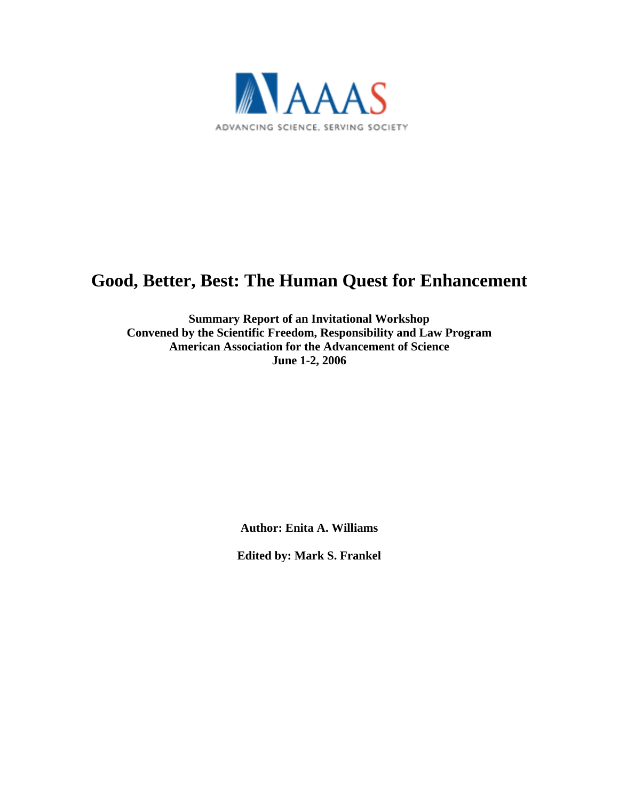

# **Good, Better, Best: The Human Quest for Enhancement**

**Summary Report of an Invitational Workshop Convened by the Scientific Freedom, Responsibility and Law Program American Association for the Advancement of Science June 1-2, 2006**

**Author: Enita A. Williams**

**Edited by: Mark S. Frankel**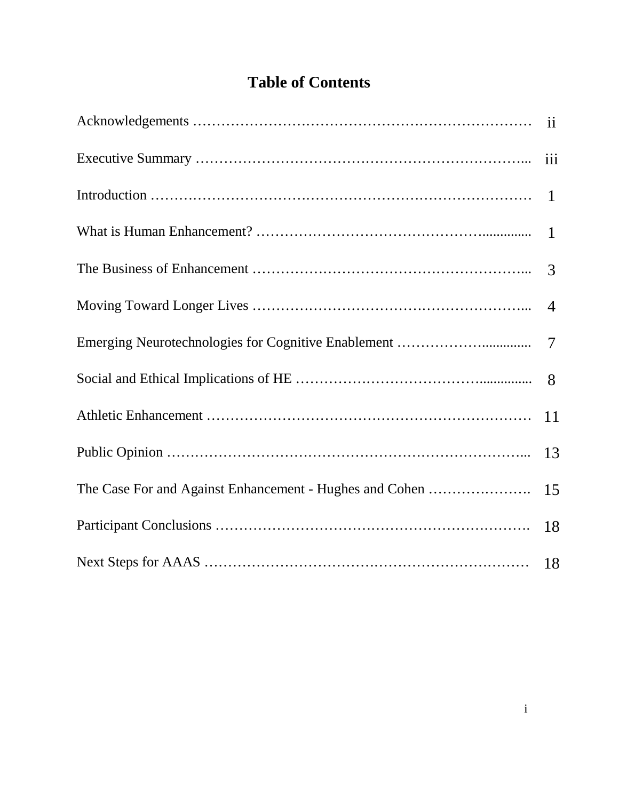# **Table of Contents**

|                                                         | $\mathbf{ii}$  |
|---------------------------------------------------------|----------------|
|                                                         | iii            |
|                                                         | $\overline{1}$ |
|                                                         |                |
|                                                         | 3              |
|                                                         | $\overline{4}$ |
|                                                         |                |
|                                                         | 8              |
|                                                         | <sup>11</sup>  |
|                                                         | 13             |
| The Case For and Against Enhancement - Hughes and Cohen | 15             |
|                                                         | 18             |
|                                                         |                |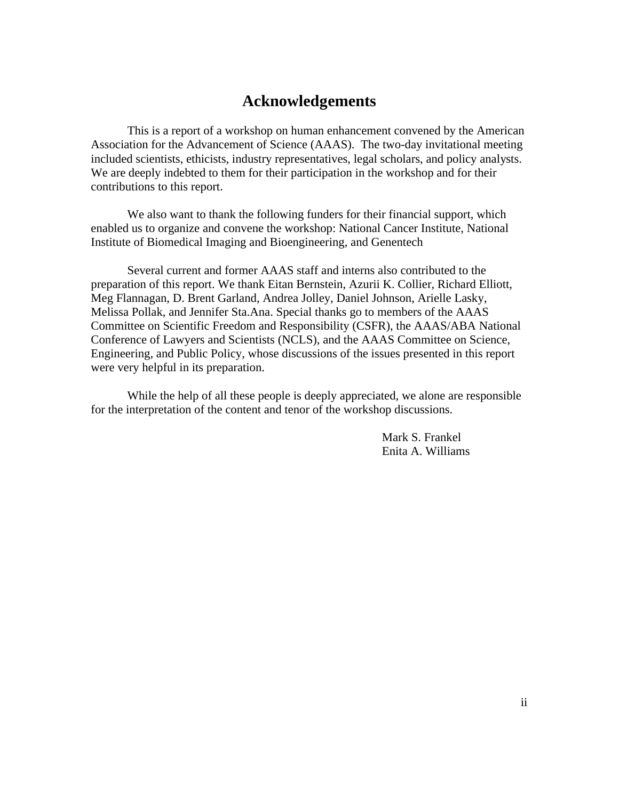# **Acknowledgements**

This is a report of a workshop on human enhancement convened by the American Association for the Advancement of Science (AAAS). The two-day invitational meeting included scientists, ethicists, industry representatives, legal scholars, and policy analysts. We are deeply indebted to them for their participation in the workshop and for their contributions to this report.

We also want to thank the following funders for their financial support, which enabled us to organize and convene the workshop: National Cancer Institute, National Institute of Biomedical Imaging and Bioengineering, and Genentech

Several current and former AAAS staff and interns also contributed to the preparation of this report. We thank Eitan Bernstein, Azurii K. Collier, Richard Elliott, Meg Flannagan, D. Brent Garland, Andrea Jolley, Daniel Johnson, Arielle Lasky, Melissa Pollak, and Jennifer Sta.Ana. Special thanks go to members of the AAAS Committee on Scientific Freedom and Responsibility (CSFR), the AAAS/ABA National Conference of Lawyers and Scientists (NCLS), and the AAAS Committee on Science, Engineering, and Public Policy, whose discussions of the issues presented in this report were very helpful in its preparation.

While the help of all these people is deeply appreciated, we alone are responsible for the interpretation of the content and tenor of the workshop discussions.

> Mark S. Frankel Enita A. Williams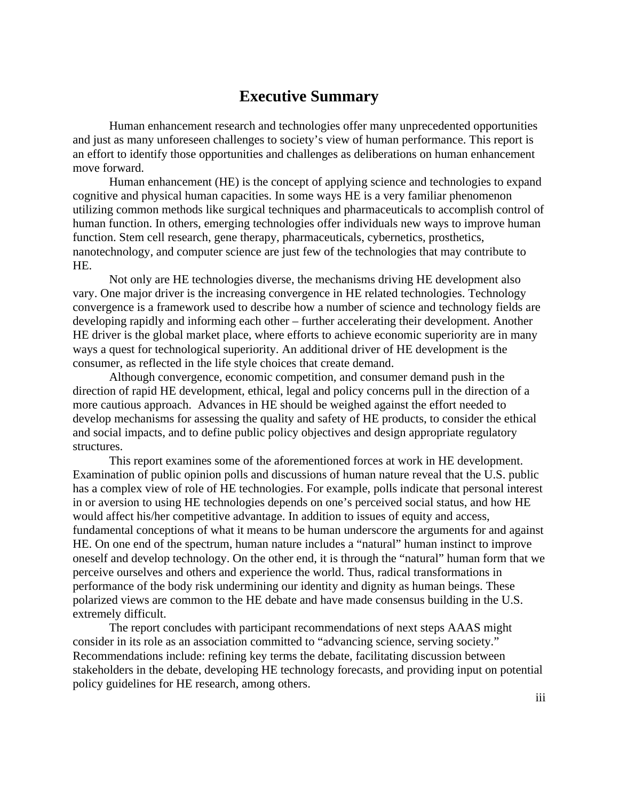# **Executive Summary**

Human enhancement research and technologies offer many unprecedented opportunities and just as many unforeseen challenges to society's view of human performance. This report is an effort to identify those opportunities and challenges as deliberations on human enhancement move forward.

Human enhancement (HE) is the concept of applying science and technologies to expand cognitive and physical human capacities. In some ways HE is a very familiar phenomenon utilizing common methods like surgical techniques and pharmaceuticals to accomplish control of human function. In others, emerging technologies offer individuals new ways to improve human function. Stem cell research, gene therapy, pharmaceuticals, cybernetics, prosthetics, nanotechnology, and computer science are just few of the technologies that may contribute to HE.

Not only are HE technologies diverse, the mechanisms driving HE development also vary. One major driver is the increasing convergence in HE related technologies. Technology convergence is a framework used to describe how a number of science and technology fields are developing rapidly and informing each other – further accelerating their development. Another HE driver is the global market place, where efforts to achieve economic superiority are in many ways a quest for technological superiority. An additional driver of HE development is the consumer, as reflected in the life style choices that create demand.

Although convergence, economic competition, and consumer demand push in the direction of rapid HE development, ethical, legal and policy concerns pull in the direction of a more cautious approach. Advances in HE should be weighed against the effort needed to develop mechanisms for assessing the quality and safety of HE products, to consider the ethical and social impacts, and to define public policy objectives and design appropriate regulatory structures.

This report examines some of the aforementioned forces at work in HE development. Examination of public opinion polls and discussions of human nature reveal that the U.S. public has a complex view of role of HE technologies. For example, polls indicate that personal interest in or aversion to using HE technologies depends on one's perceived social status, and how HE would affect his/her competitive advantage. In addition to issues of equity and access, fundamental conceptions of what it means to be human underscore the arguments for and against HE. On one end of the spectrum, human nature includes a "natural" human instinct to improve oneself and develop technology. On the other end, it is through the "natural" human form that we perceive ourselves and others and experience the world. Thus, radical transformations in performance of the body risk undermining our identity and dignity as human beings. These polarized views are common to the HE debate and have made consensus building in the U.S. extremely difficult.

The report concludes with participant recommendations of next steps AAAS might consider in its role as an association committed to "advancing science, serving society." Recommendations include: refining key terms the debate, facilitating discussion between stakeholders in the debate, developing HE technology forecasts, and providing input on potential policy guidelines for HE research, among others.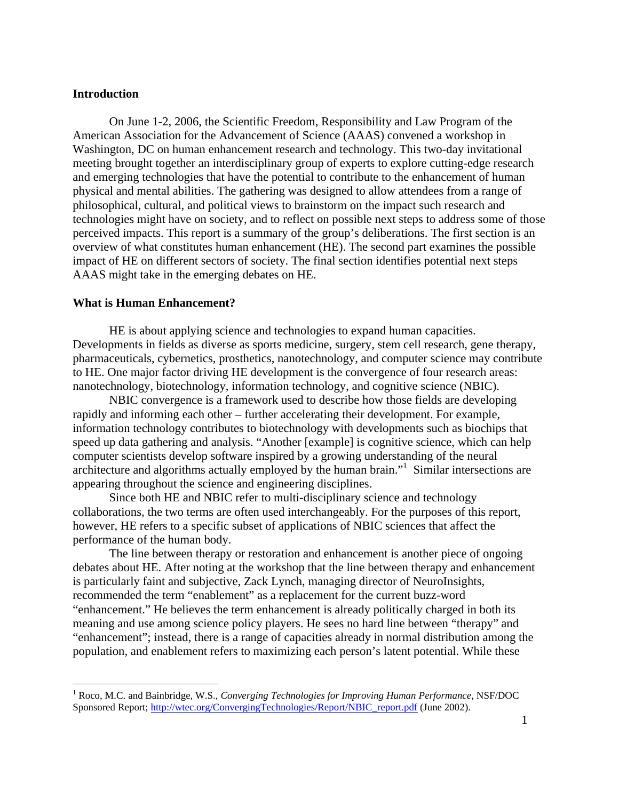## **Introduction**

 $\overline{a}$ 

On June 1-2, 2006, the Scientific Freedom, Responsibility and Law Program of the American Association for the Advancement of Science (AAAS) convened a workshop in Washington, DC on human enhancement research and technology. This two-day invitational meeting brought together an interdisciplinary group of experts to explore cutting-edge research and emerging technologies that have the potential to contribute to the enhancement of human physical and mental abilities. The gathering was designed to allow attendees from a range of philosophical, cultural, and political views to brainstorm on the impact such research and technologies might have on society, and to reflect on possible next steps to address some of those perceived impacts. This report is a summary of the group's deliberations. The first section is an overview of what constitutes human enhancement (HE). The second part examines the possible impact of HE on different sectors of society. The final section identifies potential next steps AAAS might take in the emerging debates on HE.

#### **What is Human Enhancement?**

HE is about applying science and technologies to expand human capacities. Developments in fields as diverse as sports medicine, surgery, stem cell research, gene therapy, pharmaceuticals, cybernetics, prosthetics, nanotechnology, and computer science may contribute to HE. One major factor driving HE development is the convergence of four research areas: nanotechnology, biotechnology, information technology, and cognitive science (NBIC).

NBIC convergence is a framework used to describe how those fields are developing rapidly and informing each other – further accelerating their development. For example, information technology contributes to biotechnology with developments such as biochips that speed up data gathering and analysis. "Another [example] is cognitive science, which can help computer scientists develop software inspired by a growing understanding of the neural architecture and algorithms actually employed by the human brain."<sup>1</sup> Similar intersections are appearing throughout the science and engineering disciplines.

Since both HE and NBIC refer to multi-disciplinary science and technology collaborations, the two terms are often used interchangeably. For the purposes of this report, however, HE refers to a specific subset of applications of NBIC sciences that affect the performance of the human body.

The line between therapy or restoration and enhancement is another piece of ongoing debates about HE. After noting at the workshop that the line between therapy and enhancement is particularly faint and subjective, Zack Lynch, managing director of NeuroInsights, recommended the term "enablement" as a replacement for the current buzz-word "enhancement." He believes the term enhancement is already politically charged in both its meaning and use among science policy players. He sees no hard line between "therapy" and "enhancement"; instead, there is a range of capacities already in normal distribution among the population, and enablement refers to maximizing each person's latent potential. While these

<sup>1</sup> Roco, M.C. and Bainbridge, W.S., *Converging Technologies for Improving Human Performance*, NSF/DOC Sponsored Report; http://wtec.org/ConvergingTechnologies/Report/NBIC\_report.pdf (June 2002).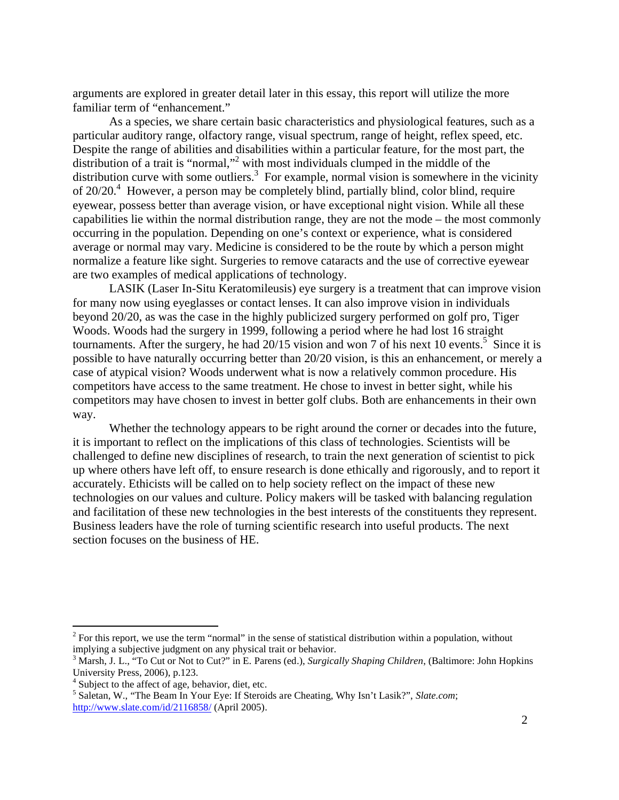arguments are explored in greater detail later in this essay, this report will utilize the more familiar term of "enhancement."

As a species, we share certain basic characteristics and physiological features, such as a particular auditory range, olfactory range, visual spectrum, range of height, reflex speed, etc. Despite the range of abilities and disabilities within a particular feature, for the most part, the distribution of a trait is "normal,"<sup>2</sup> with most individuals clumped in the middle of the distribution curve with some outliers.<sup>3</sup> For example, normal vision is somewhere in the vicinity of  $20/20<sup>4</sup>$  However, a person may be completely blind, partially blind, color blind, require eyewear, possess better than average vision, or have exceptional night vision. While all these capabilities lie within the normal distribution range, they are not the mode – the most commonly occurring in the population. Depending on one's context or experience, what is considered average or normal may vary. Medicine is considered to be the route by which a person might normalize a feature like sight. Surgeries to remove cataracts and the use of corrective eyewear are two examples of medical applications of technology.

LASIK (Laser In-Situ Keratomileusis) eye surgery is a treatment that can improve vision for many now using eyeglasses or contact lenses. It can also improve vision in individuals beyond 20/20, as was the case in the highly publicized surgery performed on golf pro, Tiger Woods. Woods had the surgery in 1999, following a period where he had lost 16 straight tournaments. After the surgery, he had  $20/15$  vision and won 7 of his next 10 events.<sup>5</sup> Since it is possible to have naturally occurring better than 20/20 vision, is this an enhancement, or merely a case of atypical vision? Woods underwent what is now a relatively common procedure. His competitors have access to the same treatment. He chose to invest in better sight, while his competitors may have chosen to invest in better golf clubs. Both are enhancements in their own way.

Whether the technology appears to be right around the corner or decades into the future, it is important to reflect on the implications of this class of technologies. Scientists will be challenged to define new disciplines of research, to train the next generation of scientist to pick up where others have left off, to ensure research is done ethically and rigorously, and to report it accurately. Ethicists will be called on to help society reflect on the impact of these new technologies on our values and culture. Policy makers will be tasked with balancing regulation and facilitation of these new technologies in the best interests of the constituents they represent. Business leaders have the role of turning scientific research into useful products. The next section focuses on the business of HE.

 $2^{2}$  For this report, we use the term "normal" in the sense of statistical distribution within a population, without implying a subjective judgment on any physical trait or behavior.

<sup>3</sup> Marsh, J. L., "To Cut or Not to Cut?" in E. Parens (ed.), *Surgically Shaping Children*, (Baltimore: John Hopkins University Press, 2006), p.123.

<sup>&</sup>lt;sup>4</sup> Subject to the affect of age, behavior, diet, etc.

<sup>5</sup> Saletan, W., "The Beam In Your Eye: If Steroids are Cheating, Why Isn't Lasik?", *Slate.com*; http://www.slate.com/id/2116858/ (April 2005).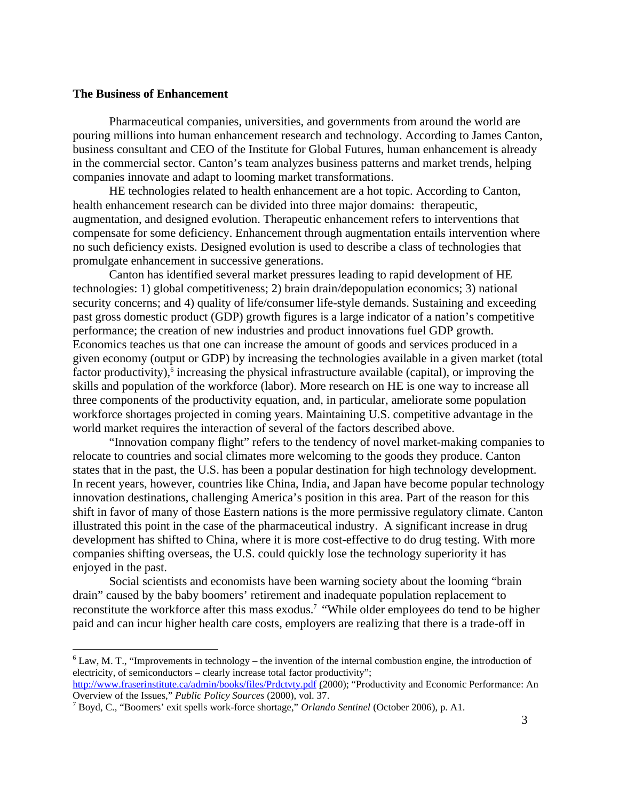## **The Business of Enhancement**

<u>.</u>

Pharmaceutical companies, universities, and governments from around the world are pouring millions into human enhancement research and technology. According to James Canton, business consultant and CEO of the Institute for Global Futures, human enhancement is already in the commercial sector. Canton's team analyzes business patterns and market trends, helping companies innovate and adapt to looming market transformations.

HE technologies related to health enhancement are a hot topic. According to Canton, health enhancement research can be divided into three major domains: therapeutic, augmentation, and designed evolution. Therapeutic enhancement refers to interventions that compensate for some deficiency. Enhancement through augmentation entails intervention where no such deficiency exists. Designed evolution is used to describe a class of technologies that promulgate enhancement in successive generations.

Canton has identified several market pressures leading to rapid development of HE technologies: 1) global competitiveness; 2) brain drain/depopulation economics; 3) national security concerns; and 4) quality of life/consumer life-style demands. Sustaining and exceeding past gross domestic product (GDP) growth figures is a large indicator of a nation's competitive performance; the creation of new industries and product innovations fuel GDP growth. Economics teaches us that one can increase the amount of goods and services produced in a given economy (output or GDP) by increasing the technologies available in a given market (total factor productivity),<sup>6</sup> increasing the physical infrastructure available (capital), or improving the skills and population of the workforce (labor). More research on HE is one way to increase all three components of the productivity equation, and, in particular, ameliorate some population workforce shortages projected in coming years. Maintaining U.S. competitive advantage in the world market requires the interaction of several of the factors described above.

"Innovation company flight" refers to the tendency of novel market-making companies to relocate to countries and social climates more welcoming to the goods they produce. Canton states that in the past, the U.S. has been a popular destination for high technology development. In recent years, however, countries like China, India, and Japan have become popular technology innovation destinations, challenging America's position in this area. Part of the reason for this shift in favor of many of those Eastern nations is the more permissive regulatory climate. Canton illustrated this point in the case of the pharmaceutical industry. A significant increase in drug development has shifted to China, where it is more cost-effective to do drug testing. With more companies shifting overseas, the U.S. could quickly lose the technology superiority it has enjoyed in the past.

Social scientists and economists have been warning society about the looming "brain drain" caused by the baby boomers' retirement and inadequate population replacement to reconstitute the workforce after this mass exodus.<sup>7</sup> "While older employees do tend to be higher paid and can incur higher health care costs, employers are realizing that there is a trade-off in

 $6$  Law, M. T., "Improvements in technology – the invention of the internal combustion engine, the introduction of electricity, of semiconductors – clearly increase total factor productivity";

http://www.fraserinstitute.ca/admin/books/files/Prdctvty.pdf (2000); "Productivity and Economic Performance: An Overview of the Issues," *Public Policy Sources* (2000), vol. 37.

Boyd, C., "Boomers' exit spells work-force shortage," *Orlando Sentinel* (October 2006), p. A1.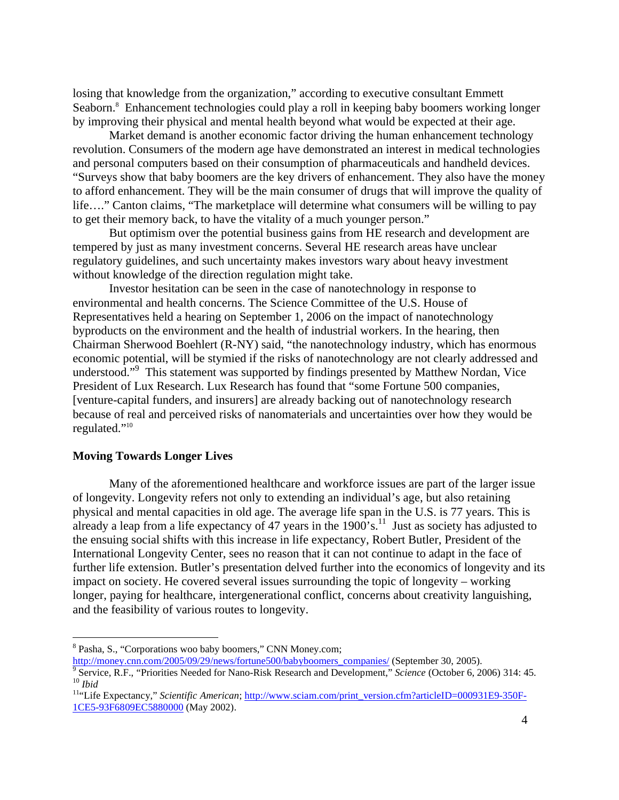losing that knowledge from the organization," according to executive consultant Emmett Seaborn.<sup>8</sup> Enhancement technologies could play a roll in keeping baby boomers working longer by improving their physical and mental health beyond what would be expected at their age.

Market demand is another economic factor driving the human enhancement technology revolution. Consumers of the modern age have demonstrated an interest in medical technologies and personal computers based on their consumption of pharmaceuticals and handheld devices. "Surveys show that baby boomers are the key drivers of enhancement. They also have the money to afford enhancement. They will be the main consumer of drugs that will improve the quality of life…." Canton claims, "The marketplace will determine what consumers will be willing to pay to get their memory back, to have the vitality of a much younger person."

But optimism over the potential business gains from HE research and development are tempered by just as many investment concerns. Several HE research areas have unclear regulatory guidelines, and such uncertainty makes investors wary about heavy investment without knowledge of the direction regulation might take.

Investor hesitation can be seen in the case of nanotechnology in response to environmental and health concerns. The Science Committee of the U.S. House of Representatives held a hearing on September 1, 2006 on the impact of nanotechnology byproducts on the environment and the health of industrial workers. In the hearing, then Chairman Sherwood Boehlert (R-NY) said, "the nanotechnology industry, which has enormous economic potential, will be stymied if the risks of nanotechnology are not clearly addressed and understood."<sup>9</sup> This statement was supported by findings presented by Matthew Nordan, Vice President of Lux Research. Lux Research has found that "some Fortune 500 companies, [venture-capital funders, and insurers] are already backing out of nanotechnology research because of real and perceived risks of nanomaterials and uncertainties over how they would be regulated."10

#### **Moving Towards Longer Lives**

 $\overline{a}$ 

Many of the aforementioned healthcare and workforce issues are part of the larger issue of longevity. Longevity refers not only to extending an individual's age, but also retaining physical and mental capacities in old age. The average life span in the U.S. is 77 years. This is already a leap from a life expectancy of 47 years in the  $1900$ 's.<sup>11</sup> Just as society has adjusted to the ensuing social shifts with this increase in life expectancy, Robert Butler, President of the International Longevity Center, sees no reason that it can not continue to adapt in the face of further life extension. Butler's presentation delved further into the economics of longevity and its impact on society. He covered several issues surrounding the topic of longevity – working longer, paying for healthcare, intergenerational conflict, concerns about creativity languishing, and the feasibility of various routes to longevity.

<sup>&</sup>lt;sup>8</sup> Pasha, S., "Corporations woo baby boomers," CNN Money.com;

http://money.cnn.com/2005/09/29/news/fortune500/babyboomers\_companies/ (September 30, 2005).<br><sup>9</sup> Service, R.F., "Priorities Needed for Nano-Risk Research and Development," *Science* (October 6, 2006) 314: 45.

<sup>10&</sup>lt;br>
10<br>
11<sup>th</sup>Life Expectancy," Scientific American; http://www.sciam.com/print\_version.cfm?articleID=000931E9-350F-

<sup>1</sup>CE5-93F6809EC5880000 (May 2002).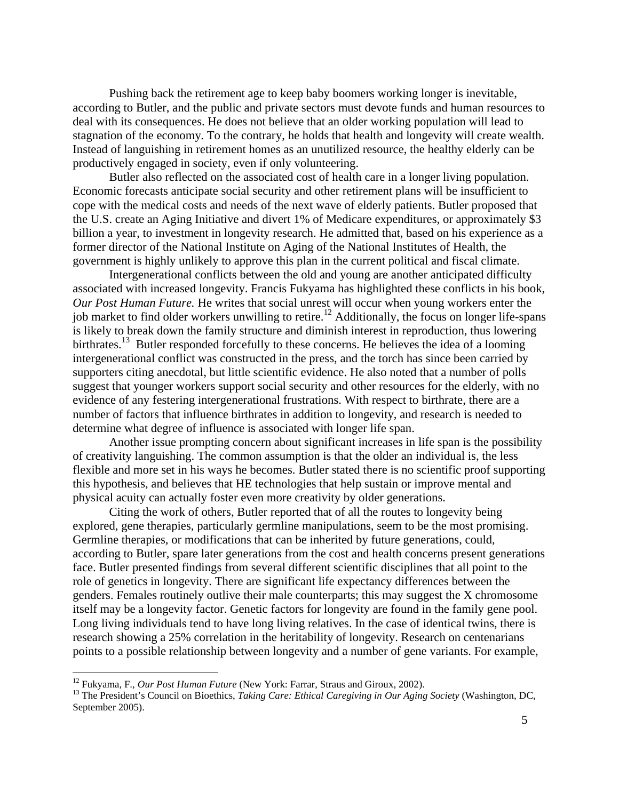Pushing back the retirement age to keep baby boomers working longer is inevitable, according to Butler, and the public and private sectors must devote funds and human resources to deal with its consequences. He does not believe that an older working population will lead to stagnation of the economy. To the contrary, he holds that health and longevity will create wealth. Instead of languishing in retirement homes as an unutilized resource, the healthy elderly can be productively engaged in society, even if only volunteering.

Butler also reflected on the associated cost of health care in a longer living population. Economic forecasts anticipate social security and other retirement plans will be insufficient to cope with the medical costs and needs of the next wave of elderly patients. Butler proposed that the U.S. create an Aging Initiative and divert 1% of Medicare expenditures, or approximately \$3 billion a year, to investment in longevity research. He admitted that, based on his experience as a former director of the National Institute on Aging of the National Institutes of Health, the government is highly unlikely to approve this plan in the current political and fiscal climate.

Intergenerational conflicts between the old and young are another anticipated difficulty associated with increased longevity. Francis Fukyama has highlighted these conflicts in his book, *Our Post Human Future.* He writes that social unrest will occur when young workers enter the job market to find older workers unwilling to retire.<sup>12</sup> Additionally, the focus on longer life-spans is likely to break down the family structure and diminish interest in reproduction, thus lowering birthrates.<sup>13</sup> Butler responded forcefully to these concerns. He believes the idea of a looming intergenerational conflict was constructed in the press, and the torch has since been carried by supporters citing anecdotal, but little scientific evidence. He also noted that a number of polls suggest that younger workers support social security and other resources for the elderly, with no evidence of any festering intergenerational frustrations. With respect to birthrate, there are a number of factors that influence birthrates in addition to longevity, and research is needed to determine what degree of influence is associated with longer life span.

Another issue prompting concern about significant increases in life span is the possibility of creativity languishing. The common assumption is that the older an individual is, the less flexible and more set in his ways he becomes. Butler stated there is no scientific proof supporting this hypothesis, and believes that HE technologies that help sustain or improve mental and physical acuity can actually foster even more creativity by older generations.

Citing the work of others, Butler reported that of all the routes to longevity being explored, gene therapies, particularly germline manipulations, seem to be the most promising. Germline therapies, or modifications that can be inherited by future generations, could, according to Butler, spare later generations from the cost and health concerns present generations face. Butler presented findings from several different scientific disciplines that all point to the role of genetics in longevity. There are significant life expectancy differences between the genders. Females routinely outlive their male counterparts; this may suggest the X chromosome itself may be a longevity factor. Genetic factors for longevity are found in the family gene pool. Long living individuals tend to have long living relatives. In the case of identical twins, there is research showing a 25% correlation in the heritability of longevity. Research on centenarians points to a possible relationship between longevity and a number of gene variants. For example,

<sup>&</sup>lt;sup>12</sup> Fukyama, F., *Our Post Human Future* (New York: Farrar, Straus and Giroux, 2002).<br><sup>13</sup> The President's Council on Bioethics, *Taking Care: Ethical Caregiving in Our Aging Society* (Washington, DC, September 2005).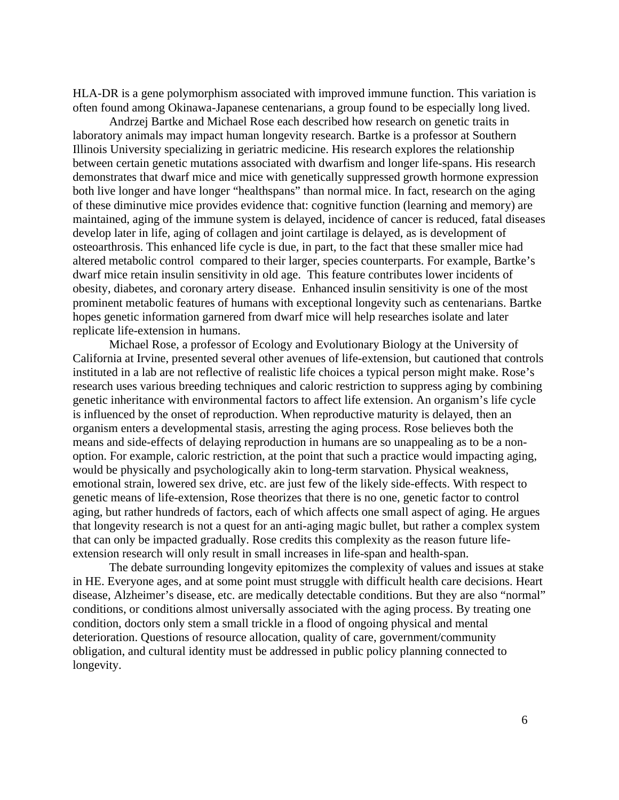HLA-DR is a gene polymorphism associated with improved immune function. This variation is often found among Okinawa-Japanese centenarians, a group found to be especially long lived.

Andrzej Bartke and Michael Rose each described how research on genetic traits in laboratory animals may impact human longevity research. Bartke is a professor at Southern Illinois University specializing in geriatric medicine. His research explores the relationship between certain genetic mutations associated with dwarfism and longer life-spans. His research demonstrates that dwarf mice and mice with genetically suppressed growth hormone expression both live longer and have longer "healthspans" than normal mice. In fact, research on the aging of these diminutive mice provides evidence that: cognitive function (learning and memory) are maintained, aging of the immune system is delayed, incidence of cancer is reduced, fatal diseases develop later in life, aging of collagen and joint cartilage is delayed, as is development of osteoarthrosis. This enhanced life cycle is due, in part, to the fact that these smaller mice had altered metabolic control compared to their larger, species counterparts. For example, Bartke's dwarf mice retain insulin sensitivity in old age. This feature contributes lower incidents of obesity, diabetes, and coronary artery disease. Enhanced insulin sensitivity is one of the most prominent metabolic features of humans with exceptional longevity such as centenarians. Bartke hopes genetic information garnered from dwarf mice will help researches isolate and later replicate life-extension in humans.

Michael Rose, a professor of Ecology and Evolutionary Biology at the University of California at Irvine, presented several other avenues of life-extension, but cautioned that controls instituted in a lab are not reflective of realistic life choices a typical person might make. Rose's research uses various breeding techniques and caloric restriction to suppress aging by combining genetic inheritance with environmental factors to affect life extension. An organism's life cycle is influenced by the onset of reproduction. When reproductive maturity is delayed, then an organism enters a developmental stasis, arresting the aging process. Rose believes both the means and side-effects of delaying reproduction in humans are so unappealing as to be a nonoption. For example, caloric restriction, at the point that such a practice would impacting aging, would be physically and psychologically akin to long-term starvation. Physical weakness, emotional strain, lowered sex drive, etc. are just few of the likely side-effects. With respect to genetic means of life-extension, Rose theorizes that there is no one, genetic factor to control aging, but rather hundreds of factors, each of which affects one small aspect of aging. He argues that longevity research is not a quest for an anti-aging magic bullet, but rather a complex system that can only be impacted gradually. Rose credits this complexity as the reason future lifeextension research will only result in small increases in life-span and health-span.

The debate surrounding longevity epitomizes the complexity of values and issues at stake in HE. Everyone ages, and at some point must struggle with difficult health care decisions. Heart disease, Alzheimer's disease, etc. are medically detectable conditions. But they are also "normal" conditions, or conditions almost universally associated with the aging process. By treating one condition, doctors only stem a small trickle in a flood of ongoing physical and mental deterioration. Questions of resource allocation, quality of care, government/community obligation, and cultural identity must be addressed in public policy planning connected to longevity.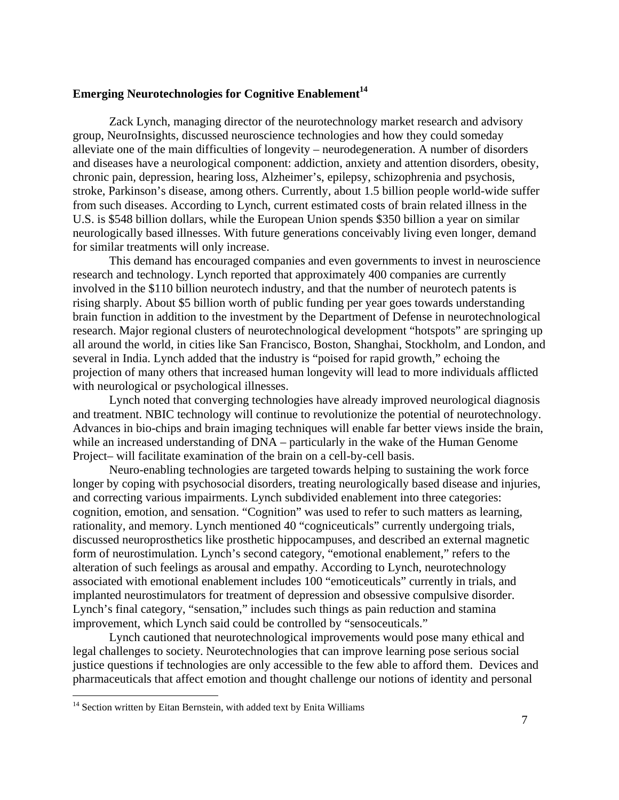## **Emerging Neurotechnologies for Cognitive Enablement**<sup>14</sup>

Zack Lynch, managing director of the neurotechnology market research and advisory group, NeuroInsights, discussed neuroscience technologies and how they could someday alleviate one of the main difficulties of longevity – neurodegeneration. A number of disorders and diseases have a neurological component: addiction, anxiety and attention disorders, obesity, chronic pain, depression, hearing loss, Alzheimer's, epilepsy, schizophrenia and psychosis, stroke, Parkinson's disease, among others. Currently, about 1.5 billion people world-wide suffer from such diseases. According to Lynch, current estimated costs of brain related illness in the U.S. is \$548 billion dollars, while the European Union spends \$350 billion a year on similar neurologically based illnesses. With future generations conceivably living even longer, demand for similar treatments will only increase.

This demand has encouraged companies and even governments to invest in neuroscience research and technology. Lynch reported that approximately 400 companies are currently involved in the \$110 billion neurotech industry, and that the number of neurotech patents is rising sharply. About \$5 billion worth of public funding per year goes towards understanding brain function in addition to the investment by the Department of Defense in neurotechnological research. Major regional clusters of neurotechnological development "hotspots" are springing up all around the world, in cities like San Francisco, Boston, Shanghai, Stockholm, and London, and several in India. Lynch added that the industry is "poised for rapid growth," echoing the projection of many others that increased human longevity will lead to more individuals afflicted with neurological or psychological illnesses.

Lynch noted that converging technologies have already improved neurological diagnosis and treatment. NBIC technology will continue to revolutionize the potential of neurotechnology. Advances in bio-chips and brain imaging techniques will enable far better views inside the brain, while an increased understanding of  $DNA$  – particularly in the wake of the Human Genome Project– will facilitate examination of the brain on a cell-by-cell basis.

Neuro-enabling technologies are targeted towards helping to sustaining the work force longer by coping with psychosocial disorders, treating neurologically based disease and injuries, and correcting various impairments. Lynch subdivided enablement into three categories: cognition, emotion, and sensation. "Cognition" was used to refer to such matters as learning, rationality, and memory. Lynch mentioned 40 "cogniceuticals" currently undergoing trials, discussed neuroprosthetics like prosthetic hippocampuses, and described an external magnetic form of neurostimulation. Lynch's second category, "emotional enablement," refers to the alteration of such feelings as arousal and empathy. According to Lynch, neurotechnology associated with emotional enablement includes 100 "emoticeuticals" currently in trials, and implanted neurostimulators for treatment of depression and obsessive compulsive disorder. Lynch's final category, "sensation," includes such things as pain reduction and stamina improvement, which Lynch said could be controlled by "sensoceuticals."

Lynch cautioned that neurotechnological improvements would pose many ethical and legal challenges to society. Neurotechnologies that can improve learning pose serious social justice questions if technologies are only accessible to the few able to afford them. Devices and pharmaceuticals that affect emotion and thought challenge our notions of identity and personal

<sup>&</sup>lt;sup>14</sup> Section written by Eitan Bernstein, with added text by Enita Williams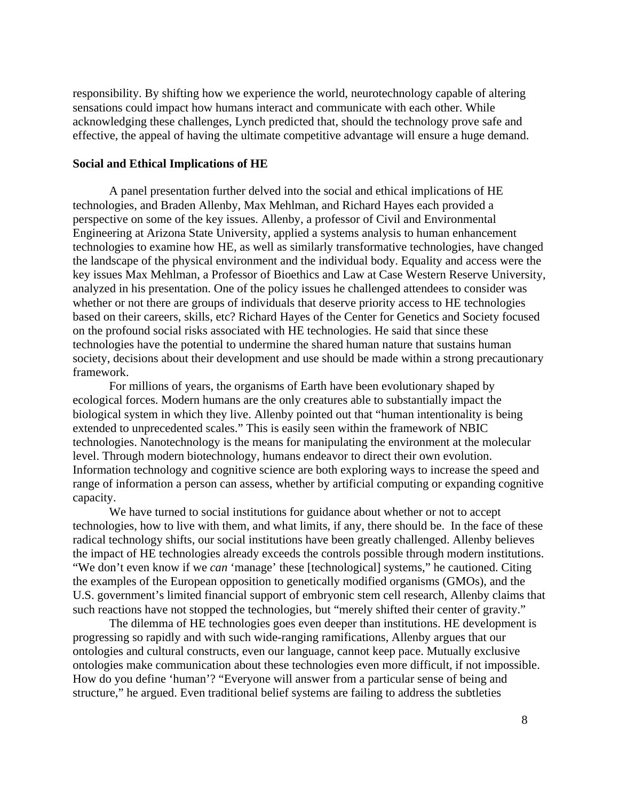responsibility. By shifting how we experience the world, neurotechnology capable of altering sensations could impact how humans interact and communicate with each other. While acknowledging these challenges, Lynch predicted that, should the technology prove safe and effective, the appeal of having the ultimate competitive advantage will ensure a huge demand.

#### **Social and Ethical Implications of HE**

A panel presentation further delved into the social and ethical implications of HE technologies, and Braden Allenby, Max Mehlman, and Richard Hayes each provided a perspective on some of the key issues. Allenby, a professor of Civil and Environmental Engineering at Arizona State University, applied a systems analysis to human enhancement technologies to examine how HE, as well as similarly transformative technologies, have changed the landscape of the physical environment and the individual body. Equality and access were the key issues Max Mehlman, a Professor of Bioethics and Law at Case Western Reserve University, analyzed in his presentation. One of the policy issues he challenged attendees to consider was whether or not there are groups of individuals that deserve priority access to HE technologies based on their careers, skills, etc? Richard Hayes of the Center for Genetics and Society focused on the profound social risks associated with HE technologies. He said that since these technologies have the potential to undermine the shared human nature that sustains human society, decisions about their development and use should be made within a strong precautionary framework.

For millions of years, the organisms of Earth have been evolutionary shaped by ecological forces. Modern humans are the only creatures able to substantially impact the biological system in which they live. Allenby pointed out that "human intentionality is being extended to unprecedented scales." This is easily seen within the framework of NBIC technologies. Nanotechnology is the means for manipulating the environment at the molecular level. Through modern biotechnology, humans endeavor to direct their own evolution. Information technology and cognitive science are both exploring ways to increase the speed and range of information a person can assess, whether by artificial computing or expanding cognitive capacity.

We have turned to social institutions for guidance about whether or not to accept technologies, how to live with them, and what limits, if any, there should be. In the face of these radical technology shifts, our social institutions have been greatly challenged. Allenby believes the impact of HE technologies already exceeds the controls possible through modern institutions. "We don't even know if we *can* 'manage' these [technological] systems," he cautioned. Citing the examples of the European opposition to genetically modified organisms (GMOs), and the U.S. government's limited financial support of embryonic stem cell research, Allenby claims that such reactions have not stopped the technologies, but "merely shifted their center of gravity."

The dilemma of HE technologies goes even deeper than institutions. HE development is progressing so rapidly and with such wide-ranging ramifications, Allenby argues that our ontologies and cultural constructs, even our language, cannot keep pace. Mutually exclusive ontologies make communication about these technologies even more difficult, if not impossible. How do you define 'human'? "Everyone will answer from a particular sense of being and structure," he argued. Even traditional belief systems are failing to address the subtleties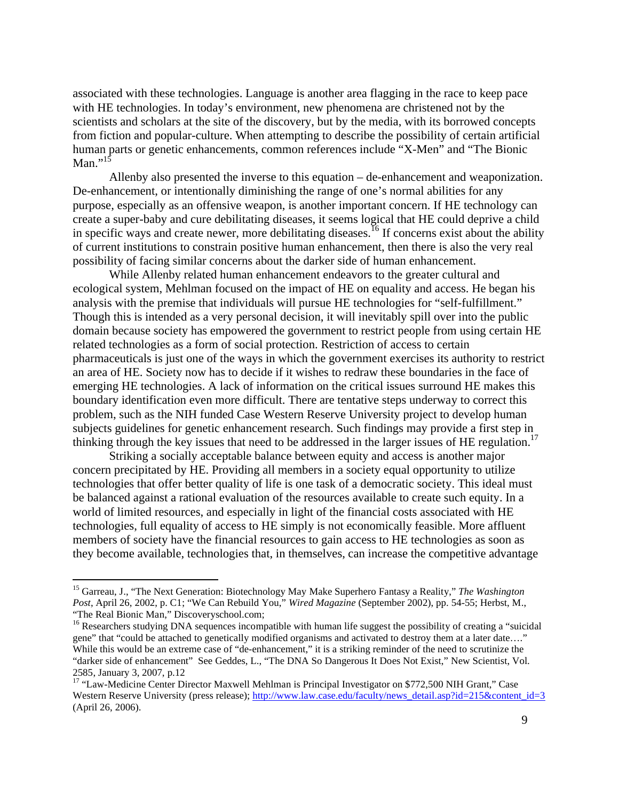associated with these technologies. Language is another area flagging in the race to keep pace with HE technologies. In today's environment, new phenomena are christened not by the scientists and scholars at the site of the discovery, but by the media, with its borrowed concepts from fiction and popular-culture. When attempting to describe the possibility of certain artificial human parts or genetic enhancements, common references include "X-Men" and "The Bionic Man." $15$ 

Allenby also presented the inverse to this equation – de-enhancement and weaponization. De-enhancement, or intentionally diminishing the range of one's normal abilities for any purpose, especially as an offensive weapon, is another important concern. If HE technology can create a super-baby and cure debilitating diseases, it seems logical that HE could deprive a child in specific ways and create newer, more debilitating diseases.<sup>16</sup> If concerns exist about the ability of current institutions to constrain positive human enhancement, then there is also the very real possibility of facing similar concerns about the darker side of human enhancement.

While Allenby related human enhancement endeavors to the greater cultural and ecological system, Mehlman focused on the impact of HE on equality and access. He began his analysis with the premise that individuals will pursue HE technologies for "self-fulfillment." Though this is intended as a very personal decision, it will inevitably spill over into the public domain because society has empowered the government to restrict people from using certain HE related technologies as a form of social protection. Restriction of access to certain pharmaceuticals is just one of the ways in which the government exercises its authority to restrict an area of HE. Society now has to decide if it wishes to redraw these boundaries in the face of emerging HE technologies. A lack of information on the critical issues surround HE makes this boundary identification even more difficult. There are tentative steps underway to correct this problem, such as the NIH funded Case Western Reserve University project to develop human subjects guidelines for genetic enhancement research. Such findings may provide a first step in thinking through the key issues that need to be addressed in the larger issues of HE regulation.<sup>17</sup>

Striking a socially acceptable balance between equity and access is another major concern precipitated by HE. Providing all members in a society equal opportunity to utilize technologies that offer better quality of life is one task of a democratic society. This ideal must be balanced against a rational evaluation of the resources available to create such equity. In a world of limited resources, and especially in light of the financial costs associated with HE technologies, full equality of access to HE simply is not economically feasible. More affluent members of society have the financial resources to gain access to HE technologies as soon as they become available, technologies that, in themselves, can increase the competitive advantage

<sup>15</sup> Garreau, J., "The Next Generation: Biotechnology May Make Superhero Fantasy a Reality," *The Washington Post*, April 26, 2002, p. C1; "We Can Rebuild You," *Wired Magazine* (September 2002), pp. 54-55; Herbst, M., "The Real Bionic Man," Discoveryschool.com;

<sup>&</sup>lt;sup>16</sup> Researchers studying DNA sequences incompatible with human life suggest the possibility of creating a "suicidal gene" that "could be attached to genetically modified organisms and activated to destroy them at a later date…." While this would be an extreme case of "de-enhancement," it is a striking reminder of the need to scrutinize the "darker side of enhancement" See Geddes, L., "The DNA So Dangerous It Does Not Exist," New Scientist, Vol. 2585, January 3, 2007, p.12

<sup>&</sup>lt;sup>17</sup> "Law-Medicine Center Director Maxwell Mehlman is Principal Investigator on \$772,500 NIH Grant," Case Western Reserve University (press release); http://www.law.case.edu/faculty/news\_detail.asp?id=215&content\_id=3 (April 26, 2006).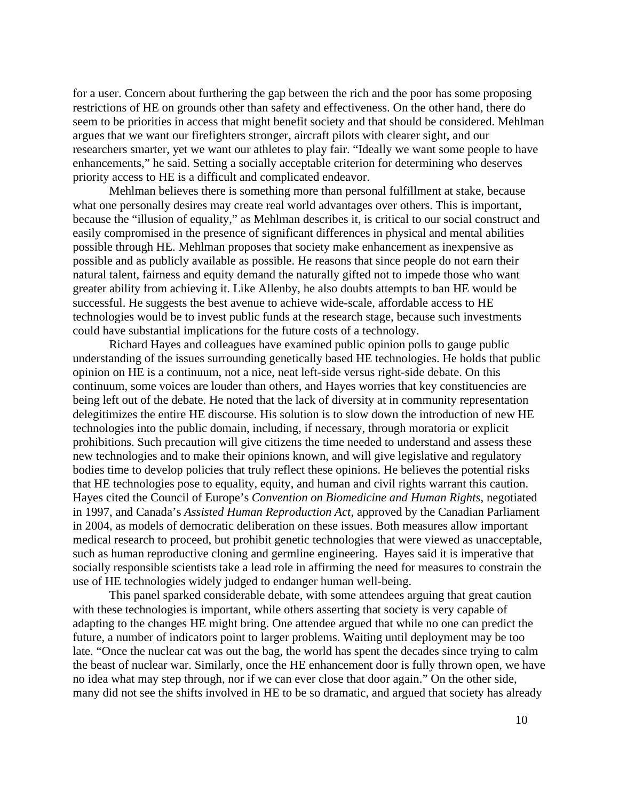for a user. Concern about furthering the gap between the rich and the poor has some proposing restrictions of HE on grounds other than safety and effectiveness. On the other hand, there do seem to be priorities in access that might benefit society and that should be considered. Mehlman argues that we want our firefighters stronger, aircraft pilots with clearer sight, and our researchers smarter, yet we want our athletes to play fair. "Ideally we want some people to have enhancements," he said. Setting a socially acceptable criterion for determining who deserves priority access to HE is a difficult and complicated endeavor.

Mehlman believes there is something more than personal fulfillment at stake, because what one personally desires may create real world advantages over others. This is important, because the "illusion of equality," as Mehlman describes it, is critical to our social construct and easily compromised in the presence of significant differences in physical and mental abilities possible through HE. Mehlman proposes that society make enhancement as inexpensive as possible and as publicly available as possible. He reasons that since people do not earn their natural talent, fairness and equity demand the naturally gifted not to impede those who want greater ability from achieving it. Like Allenby, he also doubts attempts to ban HE would be successful. He suggests the best avenue to achieve wide-scale, affordable access to HE technologies would be to invest public funds at the research stage, because such investments could have substantial implications for the future costs of a technology.

Richard Hayes and colleagues have examined public opinion polls to gauge public understanding of the issues surrounding genetically based HE technologies. He holds that public opinion on HE is a continuum, not a nice, neat left-side versus right-side debate. On this continuum, some voices are louder than others, and Hayes worries that key constituencies are being left out of the debate. He noted that the lack of diversity at in community representation delegitimizes the entire HE discourse. His solution is to slow down the introduction of new HE technologies into the public domain, including, if necessary, through moratoria or explicit prohibitions. Such precaution will give citizens the time needed to understand and assess these new technologies and to make their opinions known, and will give legislative and regulatory bodies time to develop policies that truly reflect these opinions. He believes the potential risks that HE technologies pose to equality, equity, and human and civil rights warrant this caution. Hayes cited the Council of Europe's *Convention on Biomedicine and Human Rights*, negotiated in 1997, and Canada's *Assisted Human Reproduction Act,* approved by the Canadian Parliament in 2004, as models of democratic deliberation on these issues. Both measures allow important medical research to proceed, but prohibit genetic technologies that were viewed as unacceptable, such as human reproductive cloning and germline engineering. Hayes said it is imperative that socially responsible scientists take a lead role in affirming the need for measures to constrain the use of HE technologies widely judged to endanger human well-being.

This panel sparked considerable debate, with some attendees arguing that great caution with these technologies is important, while others asserting that society is very capable of adapting to the changes HE might bring. One attendee argued that while no one can predict the future, a number of indicators point to larger problems. Waiting until deployment may be too late. "Once the nuclear cat was out the bag, the world has spent the decades since trying to calm the beast of nuclear war. Similarly, once the HE enhancement door is fully thrown open, we have no idea what may step through, nor if we can ever close that door again." On the other side, many did not see the shifts involved in HE to be so dramatic, and argued that society has already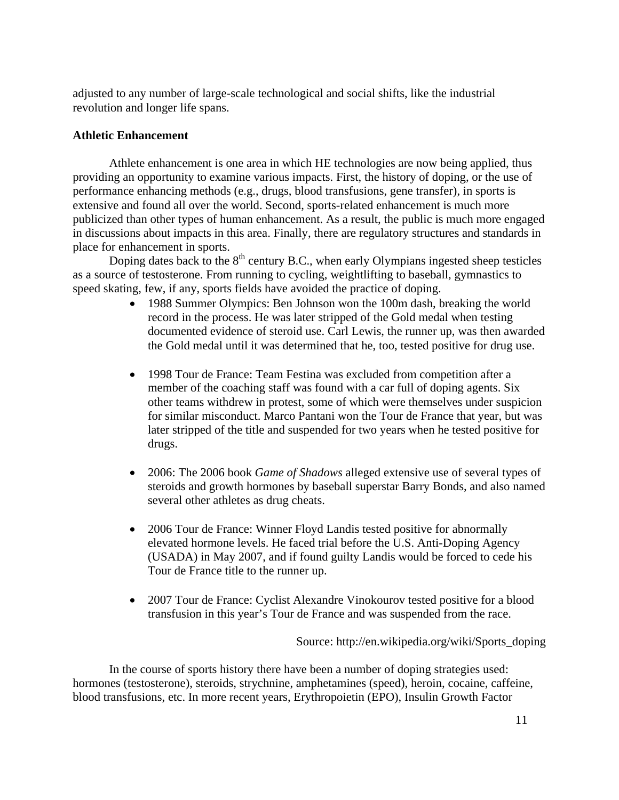adjusted to any number of large-scale technological and social shifts, like the industrial revolution and longer life spans.

## **Athletic Enhancement**

Athlete enhancement is one area in which HE technologies are now being applied, thus providing an opportunity to examine various impacts. First, the history of doping, or the use of performance enhancing methods (e.g., drugs, blood transfusions, gene transfer), in sports is extensive and found all over the world. Second, sports-related enhancement is much more publicized than other types of human enhancement. As a result, the public is much more engaged in discussions about impacts in this area. Finally, there are regulatory structures and standards in place for enhancement in sports.

Doping dates back to the  $8<sup>th</sup>$  century B.C., when early Olympians ingested sheep testicles as a source of testosterone. From running to cycling, weightlifting to baseball, gymnastics to speed skating, few, if any, sports fields have avoided the practice of doping.

- 1988 Summer Olympics: Ben Johnson won the 100m dash, breaking the world record in the process. He was later stripped of the Gold medal when testing documented evidence of steroid use. Carl Lewis, the runner up, was then awarded the Gold medal until it was determined that he, too, tested positive for drug use.
- 1998 Tour de France: Team Festina was excluded from competition after a member of the coaching staff was found with a car full of doping agents. Six other teams withdrew in protest, some of which were themselves under suspicion for similar misconduct. Marco Pantani won the Tour de France that year, but was later stripped of the title and suspended for two years when he tested positive for drugs.
- 2006: The 2006 book *Game of Shadows* alleged extensive use of several types of steroids and growth hormones by baseball superstar Barry Bonds, and also named several other athletes as drug cheats.
- 2006 Tour de France: Winner Floyd Landis tested positive for abnormally elevated hormone levels. He faced trial before the U.S. Anti-Doping Agency (USADA) in May 2007, and if found guilty Landis would be forced to cede his Tour de France title to the runner up.
- 2007 Tour de France: Cyclist Alexandre Vinokourov tested positive for a blood transfusion in this year's Tour de France and was suspended from the race.

Source: http://en.wikipedia.org/wiki/Sports\_doping

In the course of sports history there have been a number of doping strategies used: hormones (testosterone), steroids, strychnine, amphetamines (speed), heroin, cocaine, caffeine, blood transfusions, etc. In more recent years, Erythropoietin (EPO), Insulin Growth Factor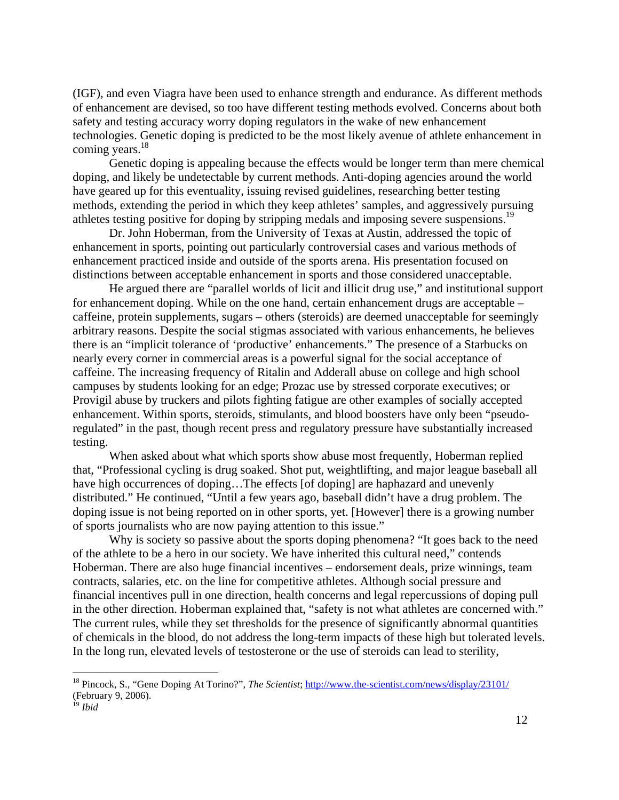(IGF), and even Viagra have been used to enhance strength and endurance. As different methods of enhancement are devised, so too have different testing methods evolved. Concerns about both safety and testing accuracy worry doping regulators in the wake of new enhancement technologies. Genetic doping is predicted to be the most likely avenue of athlete enhancement in coming years.<sup>18</sup>

Genetic doping is appealing because the effects would be longer term than mere chemical doping, and likely be undetectable by current methods. Anti-doping agencies around the world have geared up for this eventuality, issuing revised guidelines, researching better testing methods, extending the period in which they keep athletes' samples, and aggressively pursuing athletes testing positive for doping by stripping medals and imposing severe suspensions.<sup>19</sup>

Dr. John Hoberman, from the University of Texas at Austin, addressed the topic of enhancement in sports, pointing out particularly controversial cases and various methods of enhancement practiced inside and outside of the sports arena. His presentation focused on distinctions between acceptable enhancement in sports and those considered unacceptable.

He argued there are "parallel worlds of licit and illicit drug use," and institutional support for enhancement doping. While on the one hand, certain enhancement drugs are acceptable – caffeine, protein supplements, sugars – others (steroids) are deemed unacceptable for seemingly arbitrary reasons. Despite the social stigmas associated with various enhancements, he believes there is an "implicit tolerance of 'productive' enhancements." The presence of a Starbucks on nearly every corner in commercial areas is a powerful signal for the social acceptance of caffeine. The increasing frequency of Ritalin and Adderall abuse on college and high school campuses by students looking for an edge; Prozac use by stressed corporate executives; or Provigil abuse by truckers and pilots fighting fatigue are other examples of socially accepted enhancement. Within sports, steroids, stimulants, and blood boosters have only been "pseudoregulated" in the past, though recent press and regulatory pressure have substantially increased testing.

When asked about what which sports show abuse most frequently, Hoberman replied that, "Professional cycling is drug soaked. Shot put, weightlifting, and major league baseball all have high occurrences of doping...The effects [of doping] are haphazard and unevenly distributed." He continued, "Until a few years ago, baseball didn't have a drug problem. The doping issue is not being reported on in other sports, yet. [However] there is a growing number of sports journalists who are now paying attention to this issue."

Why is society so passive about the sports doping phenomena? "It goes back to the need of the athlete to be a hero in our society. We have inherited this cultural need," contends Hoberman. There are also huge financial incentives – endorsement deals, prize winnings, team contracts, salaries, etc. on the line for competitive athletes. Although social pressure and financial incentives pull in one direction, health concerns and legal repercussions of doping pull in the other direction. Hoberman explained that, "safety is not what athletes are concerned with." The current rules, while they set thresholds for the presence of significantly abnormal quantities of chemicals in the blood, do not address the long-term impacts of these high but tolerated levels. In the long run, elevated levels of testosterone or the use of steroids can lead to sterility,

<sup>18</sup> Pincock, S., "Gene Doping At Torino?", *The Scientist*; http://www.the-scientist.com/news/display/23101/ (February 9, 2006).

<sup>19</sup> *Ibid*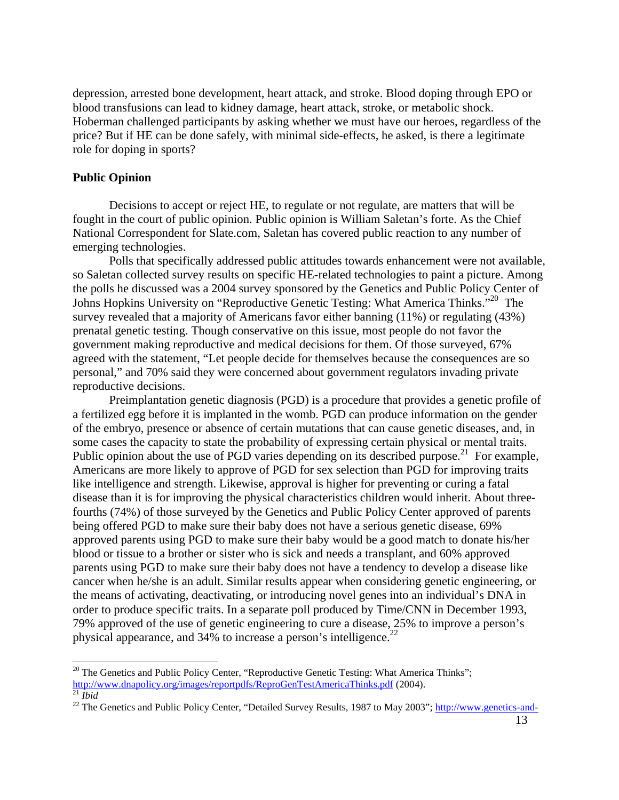depression, arrested bone development, heart attack, and stroke. Blood doping through EPO or blood transfusions can lead to kidney damage, heart attack, stroke, or metabolic shock. Hoberman challenged participants by asking whether we must have our heroes, regardless of the price? But if HE can be done safely, with minimal side-effects, he asked, is there a legitimate role for doping in sports?

## **Public Opinion**

 $\overline{a}$ 

Decisions to accept or reject HE, to regulate or not regulate, are matters that will be fought in the court of public opinion. Public opinion is William Saletan's forte. As the Chief National Correspondent for Slate.com, Saletan has covered public reaction to any number of emerging technologies.

Polls that specifically addressed public attitudes towards enhancement were not available, so Saletan collected survey results on specific HE-related technologies to paint a picture. Among the polls he discussed was a 2004 survey sponsored by the Genetics and Public Policy Center of Johns Hopkins University on "Reproductive Genetic Testing: What America Thinks."<sup>20</sup> The survey revealed that a majority of Americans favor either banning (11%) or regulating (43%) prenatal genetic testing. Though conservative on this issue, most people do not favor the government making reproductive and medical decisions for them. Of those surveyed, 67% agreed with the statement, "Let people decide for themselves because the consequences are so personal," and 70% said they were concerned about government regulators invading private reproductive decisions.

Preimplantation genetic diagnosis (PGD) is a procedure that provides a genetic profile of a fertilized egg before it is implanted in the womb. PGD can produce information on the gender of the embryo, presence or absence of certain mutations that can cause genetic diseases, and, in some cases the capacity to state the probability of expressing certain physical or mental traits. Public opinion about the use of PGD varies depending on its described purpose.<sup>21</sup> For example, Americans are more likely to approve of PGD for sex selection than PGD for improving traits like intelligence and strength. Likewise, approval is higher for preventing or curing a fatal disease than it is for improving the physical characteristics children would inherit. About threefourths (74%) of those surveyed by the Genetics and Public Policy Center approved of parents being offered PGD to make sure their baby does not have a serious genetic disease, 69% approved parents using PGD to make sure their baby would be a good match to donate his/her blood or tissue to a brother or sister who is sick and needs a transplant, and 60% approved parents using PGD to make sure their baby does not have a tendency to develop a disease like cancer when he/she is an adult. Similar results appear when considering genetic engineering, or the means of activating, deactivating, or introducing novel genes into an individual's DNA in order to produce specific traits. In a separate poll produced by Time/CNN in December 1993, 79% approved of the use of genetic engineering to cure a disease, 25% to improve a person's physical appearance, and  $34\%$  to increase a person's intelligence.<sup>22</sup>

<sup>&</sup>lt;sup>20</sup> The Genetics and Public Policy Center, "Reproductive Genetic Testing: What America Thinks"; http://www.dnapolicy.org/images/reportpdfs/ReproGenTestAmericaThinks.pdf (2004).

<sup>&</sup>lt;sup>21</sup> *Ibid*<br><sup>22</sup> The Genetics and Public Policy Center, "Detailed Survey Results, 1987 to May 2003"; http://www.genetics-and-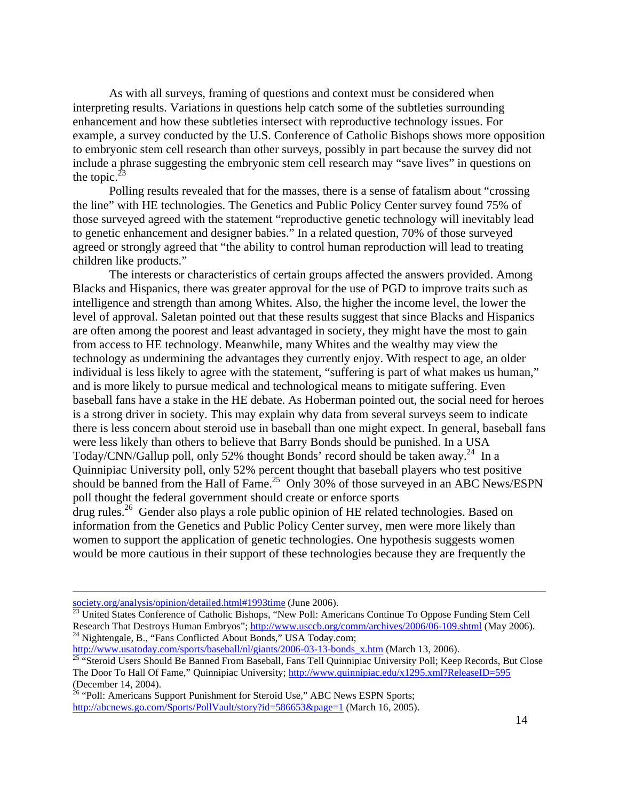As with all surveys, framing of questions and context must be considered when interpreting results. Variations in questions help catch some of the subtleties surrounding enhancement and how these subtleties intersect with reproductive technology issues. For example, a survey conducted by the U.S. Conference of Catholic Bishops shows more opposition to embryonic stem cell research than other surveys, possibly in part because the survey did not include a phrase suggesting the embryonic stem cell research may "save lives" in questions on the topic. $^{23}$ 

Polling results revealed that for the masses, there is a sense of fatalism about "crossing the line" with HE technologies. The Genetics and Public Policy Center survey found 75% of those surveyed agreed with the statement "reproductive genetic technology will inevitably lead to genetic enhancement and designer babies." In a related question, 70% of those surveyed agreed or strongly agreed that "the ability to control human reproduction will lead to treating children like products."

The interests or characteristics of certain groups affected the answers provided. Among Blacks and Hispanics, there was greater approval for the use of PGD to improve traits such as intelligence and strength than among Whites. Also, the higher the income level, the lower the level of approval. Saletan pointed out that these results suggest that since Blacks and Hispanics are often among the poorest and least advantaged in society, they might have the most to gain from access to HE technology. Meanwhile, many Whites and the wealthy may view the technology as undermining the advantages they currently enjoy. With respect to age, an older individual is less likely to agree with the statement, "suffering is part of what makes us human," and is more likely to pursue medical and technological means to mitigate suffering. Even baseball fans have a stake in the HE debate. As Hoberman pointed out, the social need for heroes is a strong driver in society. This may explain why data from several surveys seem to indicate there is less concern about steroid use in baseball than one might expect. In general, baseball fans were less likely than others to believe that Barry Bonds should be punished. In a USA Today/CNN/Gallup poll, only 52% thought Bonds' record should be taken away.<sup>24</sup> In a Quinnipiac University poll, only 52% percent thought that baseball players who test positive should be banned from the Hall of Fame.<sup>25</sup> Only 30% of those surveyed in an ABC News/ESPN poll thought the federal government should create or enforce sports drug rules.<sup>26</sup> Gender also plays a role public opinion of HE related technologies. Based on

information from the Genetics and Public Policy Center survey, men were more likely than women to support the application of genetic technologies. One hypothesis suggests women would be more cautious in their support of these technologies because they are frequently the

society.org/analysis/opinion/detailed.html#1993time</u> (June 2006).<br><sup>23</sup> United States Conference of Catholic Bishops, "New Poll: Americans Continue To Oppose Funding Stem Cell Research That Destroys Human Embryos"; http://www.usccb.org/comm/archives/2006/06-109.shtml (May 2006).<br><sup>24</sup> Nightengale, B., "Fans Conflicted About Bonds," USA Today.com;

http://www.usatoday.com/sports/baseball/nl/giants/2006-03-13-bonds\_x.htm (March 13, 2006).<br><sup>25</sup> "Steroid Users Should Be Banned From Baseball, Fans Tell Quinnipiac University Poll; Keep Records, But Close The Door To Hall Of Fame," Quinnipiac University; http://www.quinnipiac.edu/x1295.xml?ReleaseID=595

<sup>(</sup>December 14, 2004).

<sup>&</sup>lt;sup>26</sup> "Poll: Americans Support Punishment for Steroid Use," ABC News ESPN Sports; http://abcnews.go.com/Sports/PollVault/story?id=586653&page=1 (March 16, 2005).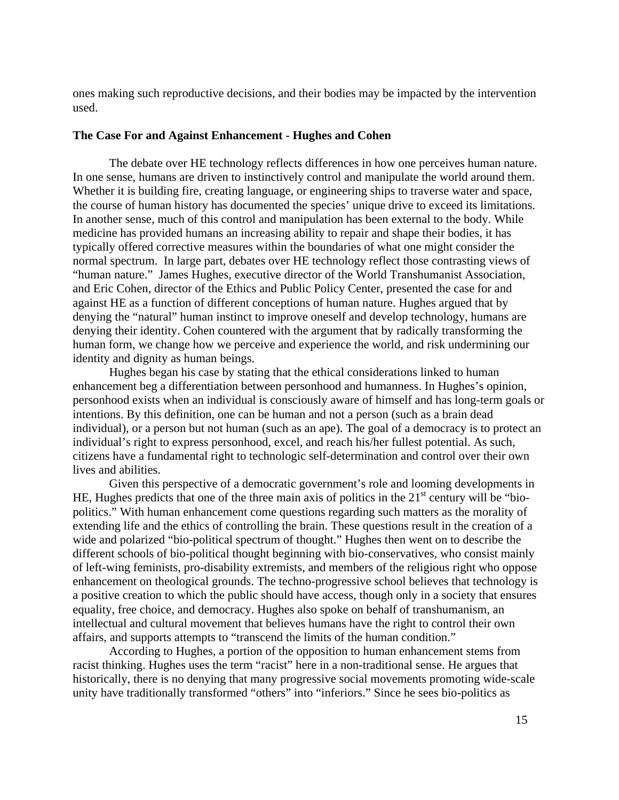ones making such reproductive decisions, and their bodies may be impacted by the intervention used.

## **The Case For and Against Enhancement - Hughes and Cohen**

The debate over HE technology reflects differences in how one perceives human nature. In one sense, humans are driven to instinctively control and manipulate the world around them. Whether it is building fire, creating language, or engineering ships to traverse water and space, the course of human history has documented the species' unique drive to exceed its limitations. In another sense, much of this control and manipulation has been external to the body. While medicine has provided humans an increasing ability to repair and shape their bodies, it has typically offered corrective measures within the boundaries of what one might consider the normal spectrum. In large part, debates over HE technology reflect those contrasting views of "human nature." James Hughes, executive director of the World Transhumanist Association, and Eric Cohen, director of the Ethics and Public Policy Center, presented the case for and against HE as a function of different conceptions of human nature. Hughes argued that by denying the "natural" human instinct to improve oneself and develop technology, humans are denying their identity. Cohen countered with the argument that by radically transforming the human form, we change how we perceive and experience the world, and risk undermining our identity and dignity as human beings.

Hughes began his case by stating that the ethical considerations linked to human enhancement beg a differentiation between personhood and humanness. In Hughes's opinion, personhood exists when an individual is consciously aware of himself and has long-term goals or intentions. By this definition, one can be human and not a person (such as a brain dead individual), or a person but not human (such as an ape). The goal of a democracy is to protect an individual's right to express personhood, excel, and reach his/her fullest potential. As such, citizens have a fundamental right to technologic self-determination and control over their own lives and abilities.

Given this perspective of a democratic government's role and looming developments in HE, Hughes predicts that one of the three main axis of politics in the  $21<sup>st</sup>$  century will be "biopolitics." With human enhancement come questions regarding such matters as the morality of extending life and the ethics of controlling the brain. These questions result in the creation of a wide and polarized "bio-political spectrum of thought." Hughes then went on to describe the different schools of bio-political thought beginning with bio-conservatives, who consist mainly of left-wing feminists, pro-disability extremists, and members of the religious right who oppose enhancement on theological grounds. The techno-progressive school believes that technology is a positive creation to which the public should have access, though only in a society that ensures equality, free choice, and democracy. Hughes also spoke on behalf of transhumanism, an intellectual and cultural movement that believes humans have the right to control their own affairs, and supports attempts to "transcend the limits of the human condition."

According to Hughes, a portion of the opposition to human enhancement stems from racist thinking. Hughes uses the term "racist" here in a non-traditional sense. He argues that historically, there is no denying that many progressive social movements promoting wide-scale unity have traditionally transformed "others" into "inferiors." Since he sees bio-politics as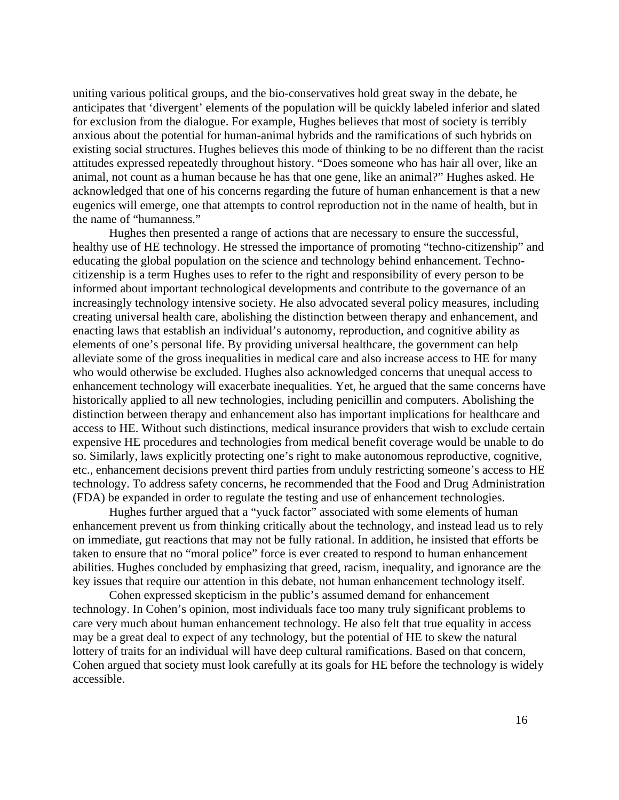uniting various political groups, and the bio-conservatives hold great sway in the debate, he anticipates that 'divergent' elements of the population will be quickly labeled inferior and slated for exclusion from the dialogue. For example, Hughes believes that most of society is terribly anxious about the potential for human-animal hybrids and the ramifications of such hybrids on existing social structures. Hughes believes this mode of thinking to be no different than the racist attitudes expressed repeatedly throughout history. "Does someone who has hair all over, like an animal, not count as a human because he has that one gene, like an animal?" Hughes asked. He acknowledged that one of his concerns regarding the future of human enhancement is that a new eugenics will emerge, one that attempts to control reproduction not in the name of health, but in the name of "humanness."

Hughes then presented a range of actions that are necessary to ensure the successful, healthy use of HE technology. He stressed the importance of promoting "techno-citizenship" and educating the global population on the science and technology behind enhancement. Technocitizenship is a term Hughes uses to refer to the right and responsibility of every person to be informed about important technological developments and contribute to the governance of an increasingly technology intensive society. He also advocated several policy measures, including creating universal health care, abolishing the distinction between therapy and enhancement, and enacting laws that establish an individual's autonomy, reproduction, and cognitive ability as elements of one's personal life. By providing universal healthcare, the government can help alleviate some of the gross inequalities in medical care and also increase access to HE for many who would otherwise be excluded. Hughes also acknowledged concerns that unequal access to enhancement technology will exacerbate inequalities. Yet, he argued that the same concerns have historically applied to all new technologies, including penicillin and computers. Abolishing the distinction between therapy and enhancement also has important implications for healthcare and access to HE. Without such distinctions, medical insurance providers that wish to exclude certain expensive HE procedures and technologies from medical benefit coverage would be unable to do so. Similarly, laws explicitly protecting one's right to make autonomous reproductive, cognitive, etc., enhancement decisions prevent third parties from unduly restricting someone's access to HE technology. To address safety concerns, he recommended that the Food and Drug Administration (FDA) be expanded in order to regulate the testing and use of enhancement technologies.

Hughes further argued that a "yuck factor" associated with some elements of human enhancement prevent us from thinking critically about the technology, and instead lead us to rely on immediate, gut reactions that may not be fully rational. In addition, he insisted that efforts be taken to ensure that no "moral police" force is ever created to respond to human enhancement abilities. Hughes concluded by emphasizing that greed, racism, inequality, and ignorance are the key issues that require our attention in this debate, not human enhancement technology itself.

Cohen expressed skepticism in the public's assumed demand for enhancement technology. In Cohen's opinion, most individuals face too many truly significant problems to care very much about human enhancement technology. He also felt that true equality in access may be a great deal to expect of any technology, but the potential of HE to skew the natural lottery of traits for an individual will have deep cultural ramifications. Based on that concern, Cohen argued that society must look carefully at its goals for HE before the technology is widely accessible.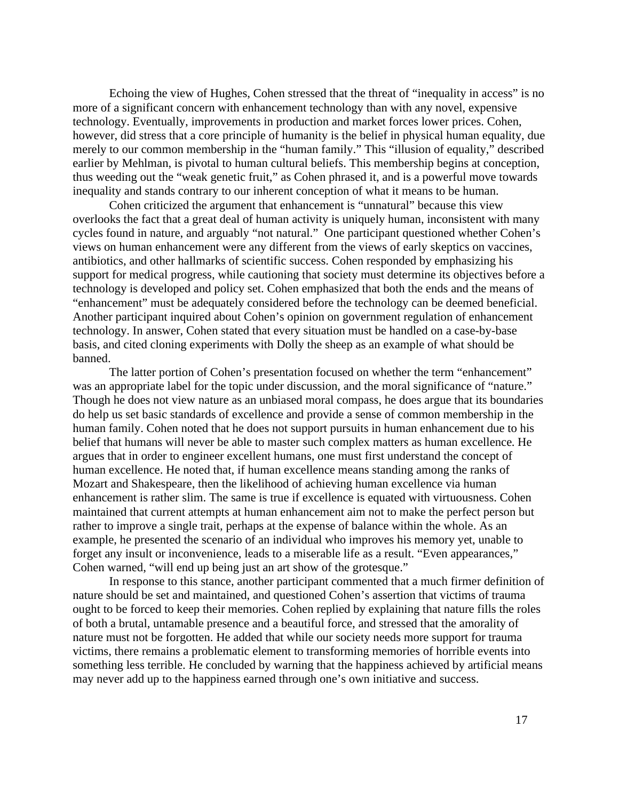Echoing the view of Hughes, Cohen stressed that the threat of "inequality in access" is no more of a significant concern with enhancement technology than with any novel, expensive technology. Eventually, improvements in production and market forces lower prices. Cohen, however, did stress that a core principle of humanity is the belief in physical human equality, due merely to our common membership in the "human family." This "illusion of equality," described earlier by Mehlman, is pivotal to human cultural beliefs. This membership begins at conception, thus weeding out the "weak genetic fruit," as Cohen phrased it, and is a powerful move towards inequality and stands contrary to our inherent conception of what it means to be human.

Cohen criticized the argument that enhancement is "unnatural" because this view overlooks the fact that a great deal of human activity is uniquely human, inconsistent with many cycles found in nature, and arguably "not natural." One participant questioned whether Cohen's views on human enhancement were any different from the views of early skeptics on vaccines, antibiotics, and other hallmarks of scientific success. Cohen responded by emphasizing his support for medical progress, while cautioning that society must determine its objectives before a technology is developed and policy set. Cohen emphasized that both the ends and the means of "enhancement" must be adequately considered before the technology can be deemed beneficial. Another participant inquired about Cohen's opinion on government regulation of enhancement technology. In answer, Cohen stated that every situation must be handled on a case-by-base basis, and cited cloning experiments with Dolly the sheep as an example of what should be banned.

The latter portion of Cohen's presentation focused on whether the term "enhancement" was an appropriate label for the topic under discussion, and the moral significance of "nature." Though he does not view nature as an unbiased moral compass, he does argue that its boundaries do help us set basic standards of excellence and provide a sense of common membership in the human family. Cohen noted that he does not support pursuits in human enhancement due to his belief that humans will never be able to master such complex matters as human excellence. He argues that in order to engineer excellent humans, one must first understand the concept of human excellence. He noted that, if human excellence means standing among the ranks of Mozart and Shakespeare, then the likelihood of achieving human excellence via human enhancement is rather slim. The same is true if excellence is equated with virtuousness. Cohen maintained that current attempts at human enhancement aim not to make the perfect person but rather to improve a single trait, perhaps at the expense of balance within the whole. As an example, he presented the scenario of an individual who improves his memory yet, unable to forget any insult or inconvenience, leads to a miserable life as a result. "Even appearances," Cohen warned, "will end up being just an art show of the grotesque."

In response to this stance, another participant commented that a much firmer definition of nature should be set and maintained, and questioned Cohen's assertion that victims of trauma ought to be forced to keep their memories. Cohen replied by explaining that nature fills the roles of both a brutal, untamable presence and a beautiful force, and stressed that the amorality of nature must not be forgotten. He added that while our society needs more support for trauma victims, there remains a problematic element to transforming memories of horrible events into something less terrible. He concluded by warning that the happiness achieved by artificial means may never add up to the happiness earned through one's own initiative and success.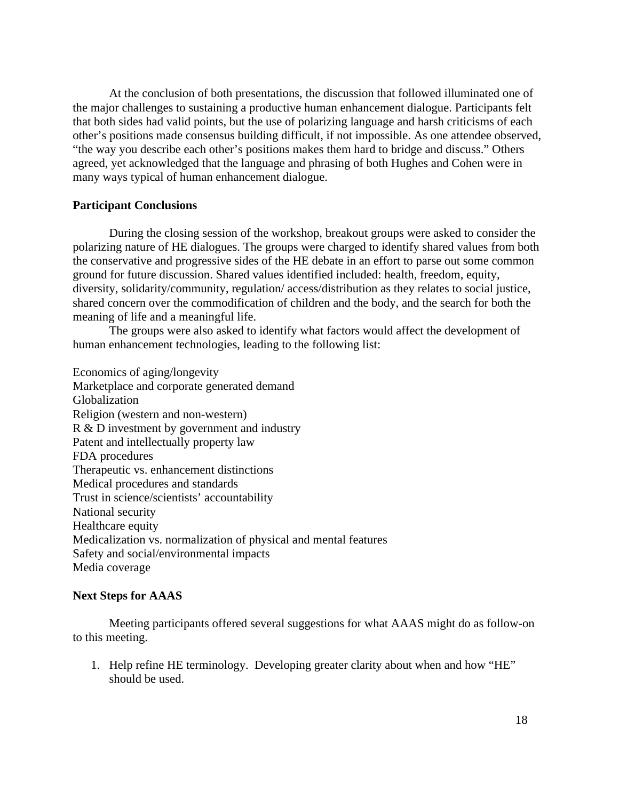At the conclusion of both presentations, the discussion that followed illuminated one of the major challenges to sustaining a productive human enhancement dialogue. Participants felt that both sides had valid points, but the use of polarizing language and harsh criticisms of each other's positions made consensus building difficult, if not impossible. As one attendee observed, "the way you describe each other's positions makes them hard to bridge and discuss." Others agreed, yet acknowledged that the language and phrasing of both Hughes and Cohen were in many ways typical of human enhancement dialogue.

#### **Participant Conclusions**

During the closing session of the workshop, breakout groups were asked to consider the polarizing nature of HE dialogues. The groups were charged to identify shared values from both the conservative and progressive sides of the HE debate in an effort to parse out some common ground for future discussion. Shared values identified included: health, freedom, equity, diversity, solidarity/community, regulation/ access/distribution as they relates to social justice, shared concern over the commodification of children and the body, and the search for both the meaning of life and a meaningful life.

The groups were also asked to identify what factors would affect the development of human enhancement technologies, leading to the following list:

Economics of aging/longevity Marketplace and corporate generated demand Globalization Religion (western and non-western) R & D investment by government and industry Patent and intellectually property law FDA procedures Therapeutic vs. enhancement distinctions Medical procedures and standards Trust in science/scientists' accountability National security Healthcare equity Medicalization vs. normalization of physical and mental features Safety and social/environmental impacts Media coverage

#### **Next Steps for AAAS**

 Meeting participants offered several suggestions for what AAAS might do as follow-on to this meeting.

1. Help refine HE terminology. Developing greater clarity about when and how "HE" should be used.